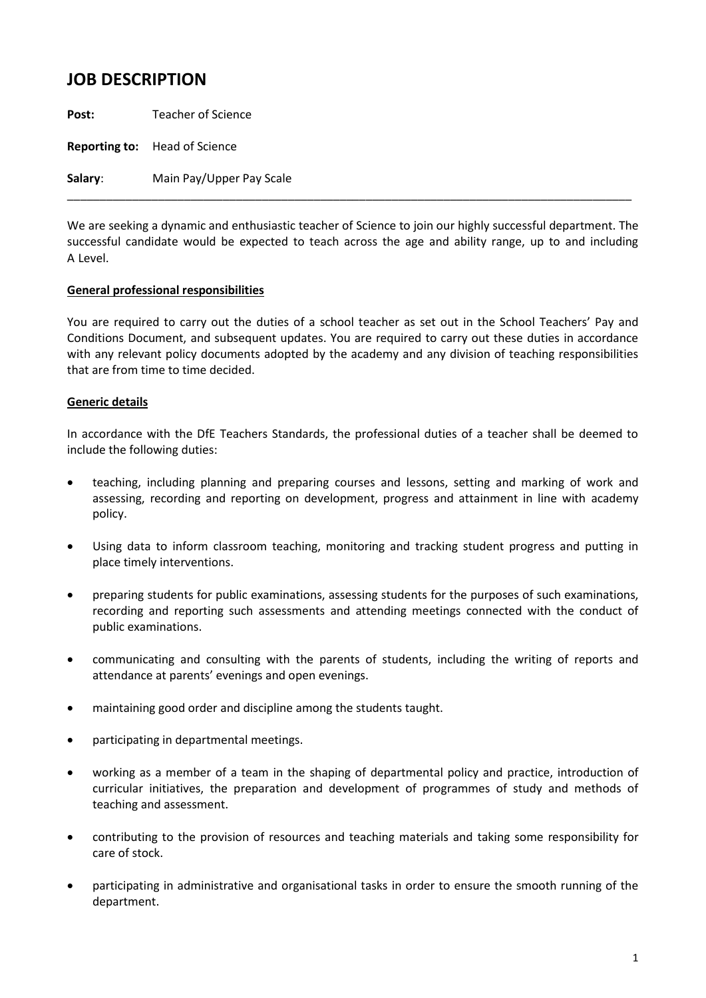## **JOB DESCRIPTION**

**Post:** Teacher of Science

**Reporting to:** Head of Science

**Salary**: Main Pay/Upper Pay Scale

We are seeking a dynamic and enthusiastic teacher of Science to join our highly successful department. The successful candidate would be expected to teach across the age and ability range, up to and including A Level.

\_\_\_\_\_\_\_\_\_\_\_\_\_\_\_\_\_\_\_\_\_\_\_\_\_\_\_\_\_\_\_\_\_\_\_\_\_\_\_\_\_\_\_\_\_\_\_\_\_\_\_\_\_\_\_\_\_\_\_\_\_\_\_\_\_\_\_\_\_\_\_\_\_\_\_\_\_\_\_\_\_\_\_\_\_\_\_

## **General professional responsibilities**

You are required to carry out the duties of a school teacher as set out in the School Teachers' Pay and Conditions Document, and subsequent updates. You are required to carry out these duties in accordance with any relevant policy documents adopted by the academy and any division of teaching responsibilities that are from time to time decided.

## **Generic details**

In accordance with the DfE Teachers Standards, the professional duties of a teacher shall be deemed to include the following duties:

- teaching, including planning and preparing courses and lessons, setting and marking of work and assessing, recording and reporting on development, progress and attainment in line with academy policy.
- Using data to inform classroom teaching, monitoring and tracking student progress and putting in place timely interventions.
- preparing students for public examinations, assessing students for the purposes of such examinations, recording and reporting such assessments and attending meetings connected with the conduct of public examinations.
- communicating and consulting with the parents of students, including the writing of reports and attendance at parents' evenings and open evenings.
- maintaining good order and discipline among the students taught.
- participating in departmental meetings.
- working as a member of a team in the shaping of departmental policy and practice, introduction of curricular initiatives, the preparation and development of programmes of study and methods of teaching and assessment.
- contributing to the provision of resources and teaching materials and taking some responsibility for care of stock.
- participating in administrative and organisational tasks in order to ensure the smooth running of the department.